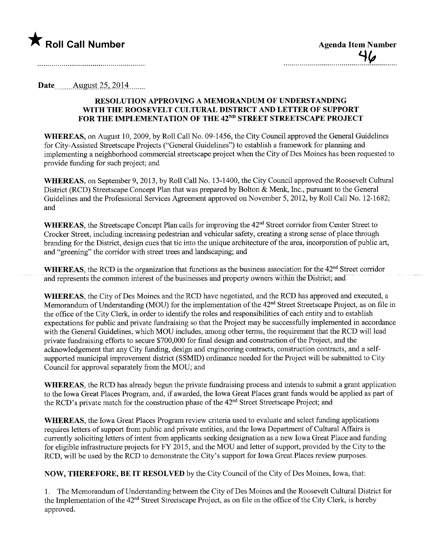

| <b>Agenda Item Number</b> |
|---------------------------|
| 46                        |
|                           |

Date  $\qquad$  August 25, 2014

## RESOLUTION APPROVIG A MEMORADUM OF UNDERSTANDING WITH THE ROOSEVELT CULTURAL DISTRICT AND LETTER OF SUPPORT FOR THE IMPLEMENTATION OF THE 42ND STREET STREETSCAPE PROJECT

WHEREAS, on August 10,2009, by Roll Call No. 09-1456, the City Council approved the General Guidelines for City-Assisted Streetscape Projects ("General Guidelines") to establish a framework for planning and implementing a neighborhood commercial streetscape project when the City of Des Moines has been requested to provide funding for such project; and

WHEREAS, on September 9, 2013, by Roll Call No. 13-1400, the City Council approved the Roosevelt Cultural District (RCD) Streetscape Concept Plan that was prepared by Bolton & Menk, mc., pursuant to the General Guidelines and the Professional Services Agreement approved on November 5,2012, by Roll Call No. 12-1682; and

WHEREAS, the Streetscape Concept Plan calls for improving the 42<sup>nd</sup> Street corridor from Center Street to Crocker Street, including increasing pedestrian and vehicular safety, creating a strong sense of place through branding for the District, design cues that tie into the unque architecture of the area, incorporation of public ar, and "greening" the corrdor with street trees and landscaping; and

WHEREAS, the RCD is the organization that functions as the business association for the  $42<sup>nd</sup>$  Street corridor and represents the common interest of the businesses and property owners within the District; and

WHEREAS, the City of Des Moines and the RCD have negotiated, and the RCD has approved and executed, a Memorandum of Dnderstanding (MOD) for the implementation of the 42nd Street Streetscape Project, as on file in the office of the City Clerk, in order to identify the roles and responsibilities of each entity and to establish expectations for public and private fundraising so that the Project may be successfully implemented in accordance with the General Guidelines, which MOU includes, among other terms, the requirement that the RCD will lead private fundraising efforts to secure \$700,000 for final design and construction of the Project, and the acknowledgement that any City funding, design and engineering contracts, construction contracts, and a selfsupported municipal improvement district (SSMID) ordinance needed for the Project wil be submitted to City Council for approval separately from the MOD; and

WHEREAS, the RCD has already begun the private fundraising process and intends to submit a grant application to the Iowa Great Places Program, and, if awarded, the Iowa Great Places grant fuds would be applied as part of the RCD's private match for the construction phase of the 42<sup>nd</sup> Street Streetscape Project; and

WHEREAS, the Iowa Great Places Program review criteria used to evaluate and select fuding applications requires letters of support from public and private entities, and the Iowa Department of Cultural Affairs is currently soliciting letters of intent from applicants seeking designation as a new Iowa Great Place and funding for eligible infrastructure projects for FY 2015, and the MOD and letter of support, provided by the City to the RCD, will be used by the RCD to demonstrate the City's support for Iowa Great Places review purposes.

NOW, THEREFORE, BE IT RESOLVED by the City Council of the City of Des Moines, Iowa, that:

1. The Memorandum of Dnderstanding between the City of Des Moines and the Roosevelt Cultural District for the Implementation of the  $42<sup>nd</sup>$  Street Streetscape Project, as on file in the office of the City Clerk, is hereby approved.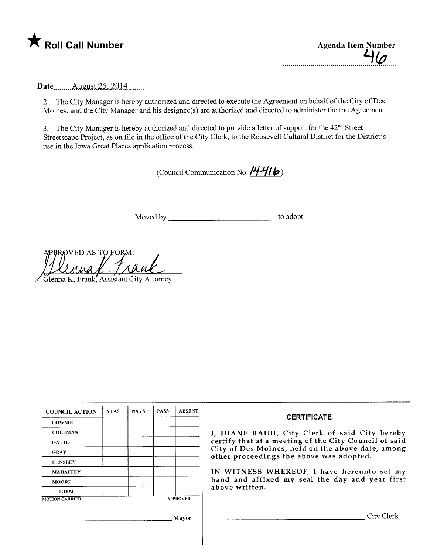

| <b>Agenda Item Number</b> |
|---------------------------|
| 4/a                       |
|                           |

Date \_\_\_\_\_ August 25, 2014

2. The City Manager is hereby authorized and directed to execute the Agreement on behalf of the City of Des Moines, and the City Manager and his designee(s) are authorized and directed to administer the the Agreement.

3. The City Manager is hereby authorized and directed to provide a letter of support for the 42<sup>nd</sup> Street Streetscape Project, as on file in the office of the City Clerk, to the Roosevelt Cultural District for the District's use in the Iowa Great Places application process.

(Council Communication No.  $/4 - 4/6$ )

Moved by to adopt.

APPROVED AS TO FORM:<br>CLAUSE ... TARKE<br>Glenna K. Frank, Assistant City Attorne

, Glenna K. Frank, Assistant City Attorney

| <b>COUNCIL ACTION</b> | <b>YEAS</b> | <b>NAYS</b> | <b>PASS</b> | <b>ABSENT</b>   | <b>CERTIFICATE</b>                                                                            |  |  |
|-----------------------|-------------|-------------|-------------|-----------------|-----------------------------------------------------------------------------------------------|--|--|
| <b>COWNIE</b>         |             |             |             |                 |                                                                                               |  |  |
| <b>COLEMAN</b>        |             |             |             |                 | I, DIANE RAUH, City Clerk of said City hereby                                                 |  |  |
| <b>GATTO</b>          |             |             |             |                 | certify that at a meeting of the City Council of said                                         |  |  |
| <b>GRAY</b>           |             |             |             |                 | City of Des Moines, held on the above date, among<br>other proceedings the above was adopted. |  |  |
| <b>HENSLEY</b>        |             |             |             |                 |                                                                                               |  |  |
| <b>MAHAFFEY</b>       |             |             |             |                 | IN WITNESS WHEREOF, I have hereunto set my                                                    |  |  |
| <b>MOORE</b>          |             |             |             |                 | hand and affixed my seal the day and year first                                               |  |  |
| <b>TOTAL</b>          |             |             |             |                 | above written.                                                                                |  |  |
| <b>MOTION CARRIED</b> |             |             |             | <b>APPROVED</b> |                                                                                               |  |  |
|                       |             |             |             | Mayor           | City Clerl                                                                                    |  |  |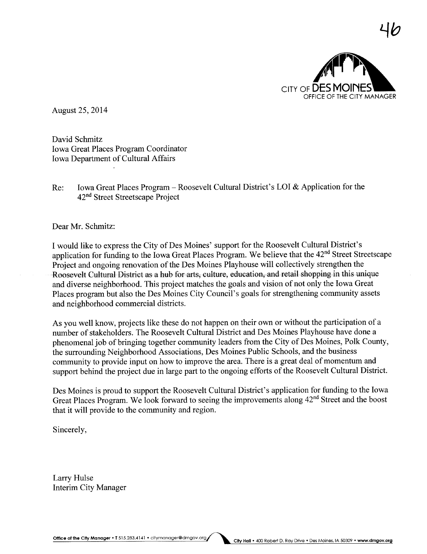

 $\neg \theta$ 

August 25,2014

David Schmitz Iowa Great Places Program Coordinator Iowa Deparment of Cultural Affairs

Re: Iowa Great Places Program - Roosevelt Cultural District's LOI & Application for the 42nd Street Streetscape Project

Dear Mr. Schmitz:

I would like to express the City of Des Moines' support for the Roosevelt Cultural District's application for funding to the Iowa Great Places Program. We believe that the 42nd Street Streetscape Project and ongoing renovation of the Des Moines Playhouse will collectively strengthen the Roosevelt Cultural District as a hub for arts, culture, education, and retail shopping in this unique and diverse neighborhood. This project matches the goals and vision of not only the Iowa Great Places program but also the Des Moines City Council's goals for strengthening community assets and neighborhood commercial districts.

As you well know, projects like these do not happen on their own or without the participation of a number of stakeholders. The Roosevelt Cultural District and Des Moines Playhouse have done a phenomenal job of bringing together community leaders from the City of Des Moines, Polk County, the surrounding Neighborhood Associations, Des Moines Public Schools, and the business community to provide input on how to improve the area. There is a great deal of momentum and support behind the project due in large part to the ongoing efforts of the Roosevelt Cultural District.

Des Moines is proud to support the Roosevelt Cultural District's application for funding to the Iowa Great Places Program. We look forward to seeing the improvements along 42<sup>nd</sup> Street and the boost that it will provide to the community and region.

Sincerely,

Larry Hulse Interim City Manager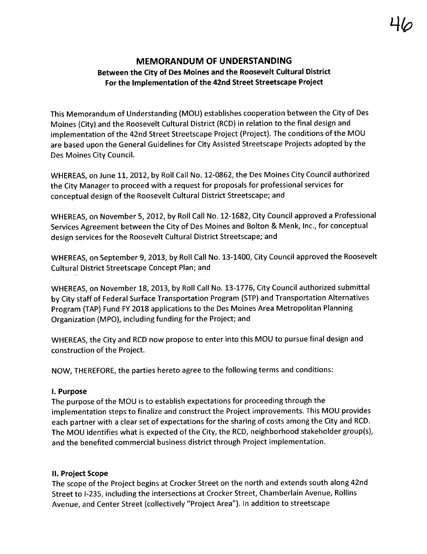# MEMORANDUM OF UNDERSTANDING Between the City of Des Moines and the Roosevelt Cultural District For the Implementation of the 42nd Street Streetscape Project

This Memorandum of Understanding (MOU) establishes cooperation between the City of Des Moines (City) and the Roosevelt Cultural District (RCD) in relation to the final design and implementation of the 42nd Street Streetscape Project (Project). The conditions of the MOU are based upon the General Guidelines for City Assisted Streetscape Projects adopted by the Des Moines City CounciL.

WHEREAS, on June 11, 2012, by Roll Call No. 12-0862, the Des Moines City Council authorized the City Manager to proceed with a request for proposals for professional services for conceptual design of the Roosevelt Cultural District Streetscape; and

WHEREAS, on November 5,2012, by Roll Call No. 12-1682, City Council approved a Professional Services Agreement between the City of Des Moines and Bolton & Menk, Inc., for conceptual design services for the Roosevelt Cultural District Streetscape; and

WHEREAS, on September 9, 2013, by Roll Call No. 13-1400, City Council approved the Roosevelt Cultural District Streetscape Concept Plan; and

WHEREAS, on November 18, 2013, by Roll Call No. 13-1776, City Council authorized submittal by City staff of Federal Surface Transportation Program (STP) and Transportation Alternatives Program (TAP) Fund FY 2018 applications to the Des Moines Area Metropolitan Planning Organization (MPO), including funding for the Project; and

WHEREAS, the City and RCD now propose to enter into this MOU to pursue final design and construction of the Project.

NOW, THEREFORE, the parties hereto agree to the following terms and conditions:

## I. Purpose

The purpose of the MOU is to establish expectations for proceeding through the implementation steps to finalize and construct the Project improvements. This MOU provides each partner with a clear set of expectations for the sharing of costs among the City and RCD. The MOU identifies what is expected of the City, the RCD, neighborhood stakeholder group(s), and the benefited commercial business district through Project implementation.

## II. Project Scope

The scope of the Project begins at Crocker Street on the north and extends south along 42nd Street to 1-235, including the intersections at Crocker Street, Chamberlain Avenue, Rollins Avenue, and Center Street (collectively "Project Area"). In addition to streetscape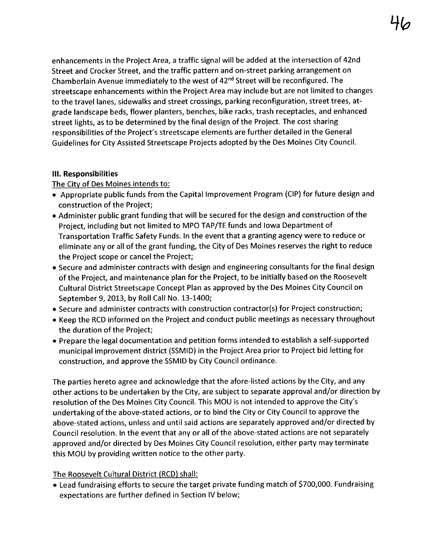enhancements in the Project Area, a traffic signal will be added at the intersection of 42nd Street and Crocker Street, and the traffic pattern and on-street parking arrangement on Chamberlain Avenue immediately to the west of 42nd Street will be reconfigured. The streetscape enhancements within the Project Area may include but are not limited to changes to the travel lanes, sidewalks and street crossings, parking reconfiguration, street trees, atgrade landscape beds, flower planters, benches, bike racks, trash receptacles, and enhanced street lights, as to be determined by the final design of the Project. The cost sharing responsibilities ofthe Project's streetscape elements are further detailed in the General Guidelines for City Assisted Streetscape Projects adopted by the Des Moines City CounciL.

## II. Responsibilties

The City of Des Moines intends to:

- . Appropriate public funds from the Capital Improvement Program (CIP) for future design and construction of the Project;
- . Administer public grant funding that wil be secured for the design and construction of the Project, including but not limited to MPO TAP/TE funds and Iowa Department of Transportation Traffic Safety Funds. In the event that a granting agency were to reduce or eliminate any or all of the grant funding, the City of Des Moines reserves the right to reduce the Project scope or cancel the Project;
- . Secure and administer contracts with design and engineering consultants for the final design of the Project, and maintenance plan for the Project, to be initially based on the Roosevelt Cultural District Streetscape Concept Plan as approved by the Des Moines City Council on September 9, 2013, by Roll Call No. 13-1400;
- . Secure and administer contracts with construction contractor(s) for Project construction;
- . Keep the RCD informed on the Project and conduct public meetings as necessary throughout the duration of the Project;
- . Prepare the legal documentation and petition forms intended to establish a self-supported municipal improvement district (SSMID) in the Project Area prior to Project bid letting for construction, and approve the SSMID by City Council ordinance.

The parties hereto agree and acknowledge that the afore-listed actions by the City, and any other actions to be undertaken by the City, are subject to separate approval and/or direction by resolution of the Des Moines City Council. This MOU is not intended to approve the City's undertaking of the above-stated actions, or to bind the City or City Council to approve the above-stated actions, unless and until said actions are separately approved and/or directed by Council resolution. In the event that any or all of the above-stated actions are not separately approved and/or directed by Des Moines City Council resolution, either party may terminate this MOU by providing written notice to the other party.

## The Roosevelt Cultural District (RCD) shall:

. Lead fundraising efforts to secure the target private funding match of \$700,000. Fundraising expectations are further defined in Section IV below;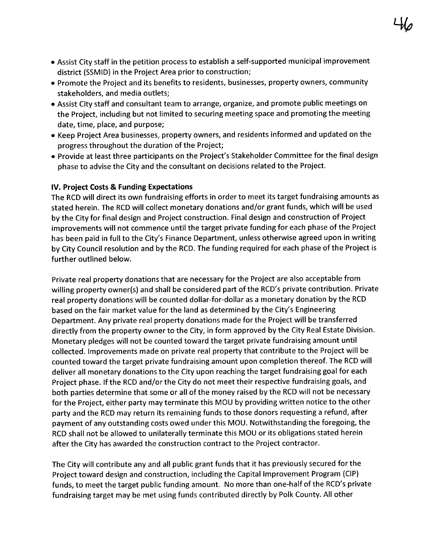- . Assist City staff in the petition process to establish a self-supported municipal improvement district (SSMID) in the Project Area prior to construction;
- . Promote the Project and its benefits to residents, businesses, property owners, community stakeholders, and media outlets;
- . Assist City staff and consultant team to arrange, organize, and promote public meetings on the Project, including but not limited to securing meeting space and promoting the meeting date, time, place, and purpose;
- . Keep Project Area businesses, property owners, and residents informed and updated on the progress throughout the duration of the Project;
- . Provide at least three participants on the Project's Stakeholder Committee for the final design phase to advise the City and the consultant on decisions related to the Project.

## iv. Project Costs & Funding Expectations

The RCD will direct its own fundraising efforts in order to meet its target fundraising amounts as stated herein. The RCD will collect monetary donations and/or grant funds, which wil be used by the City for final design and Project construction. Final design and construction of Project improvements will not commence until the target private funding for each phase of the Project has been paid in full to the City's Finance Department, unless otherwise agreed upon in writing by City Council resolution and by the RCD. The funding required for each phase of the Project is further outlined below.

Private real property donations that are necessary for the Project are also acceptable from willing property owner(s) and shall be considered part of the RCD's private contribution. Private real property donations will be counted dollar-for-dollar as a monetary donation by the RCD based on the fair market value for the land as determined by the City's Engineering Department. Any private real property donations made for the Project will be transferred directly from the property owner to the City, in form approved by the City Real Estate Division. Monetary pledges will not be counted toward the target private fundraising amount until collected. Improvements made on private real property that contribute to the Project will be counted toward the target private fundraising amount upon completion thereof. The RCD will deliver all monetary donations to the City upon reaching the target fundraising goal for each Project phase. If the RCD and/or the City do not meet their respective fundraising goals, and both parties determine that some or all of the money raised by the RCD will not be necessary for the Project, either party may terminate this MOU by providing written notice to the other party and the RCD may return its remaining funds to those donors requesting a refund, after payment of any outstanding costs owed under this MOU. Notwithstanding the foregoing, the RCD shall not be allowed to unilaterally terminate this MOU or its obligations stated herein after the City has awarded the construction contract to the Project contractor.

The City will contribute any and all public grant funds that it has previously secured for the Project toward design and construction, including the Capital Improvement Program (CIP) funds, to meet the target public funding amount. No more than one-half of the RCD's private fundraising target may be met using funds contributed directly by Polk County. All other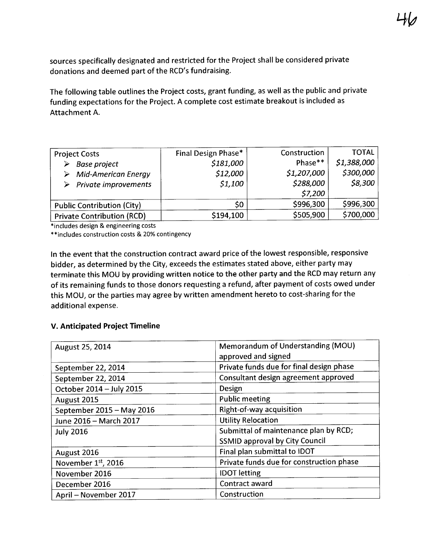sources specifically designated and restricted for the Project shall be considered private donations and deemed part of the RCD's fundraising.

The following table outlines the Project costs, grant funding, as well as the public and private funding expectations for the Project. A complete cost estimate breakout is included as Attachment A.

| <b>TOTAL</b> | Construction | Final Design Phase* | <b>Project Costs</b>                                                          |
|--------------|--------------|---------------------|-------------------------------------------------------------------------------|
| \$1,388,000  | Phase**      | \$181,000           | <b>Base project</b><br>➤                                                      |
| \$300,000    | \$1,207,000  | \$12,000            |                                                                               |
| \$8,300      | \$288,000    | \$1,100             |                                                                               |
|              | \$7,200      |                     |                                                                               |
| \$996,300    | \$996,300    | S0                  | <b>Public Contribution (City)</b>                                             |
| \$700,000    | \$505,900    | \$194,100           | <b>Private Contribution (RCD)</b>                                             |
|              |              |                     | $\triangleright$ Mid-American Energy<br>$\triangleright$ Private improvements |

\*includes design & engineering costs

\*\*includes construction costs & 20% contingency

In the event that the construction contract award price of the lowest responsible, responsive bidder, as determined by the City, exceeds the estimates stated above, either party may terminate this MOU by providing written notice to the other party and the RCD may return any of its remaining funds to those donors requesting a refund, after payment of costs owed under this MOU, or the parties may agree by written amendment hereto to cost-sharing for the additional expense.

## v. Anticipated Project Timeline

| August 25, 2014           | Memorandum of Understanding (MOU)<br>approved and signed |
|---------------------------|----------------------------------------------------------|
| September 22, 2014        | Private funds due for final design phase                 |
| September 22, 2014        | Consultant design agreement approved                     |
| October 2014 - July 2015  | Design                                                   |
| August 2015               | <b>Public meeting</b>                                    |
| September 2015 - May 2016 | Right-of-way acquisition                                 |
| June 2016 - March 2017    | <b>Utility Relocation</b>                                |
| <b>July 2016</b>          | Submittal of maintenance plan by RCD;                    |
|                           | <b>SSMID approval by City Council</b>                    |
| August 2016               | Final plan submittal to IDOT                             |
| November 1st, 2016        | Private funds due for construction phase                 |
| November 2016             | <b>IDOT</b> letting                                      |
| December 2016             | Contract award                                           |
| April - November 2017     | Construction                                             |